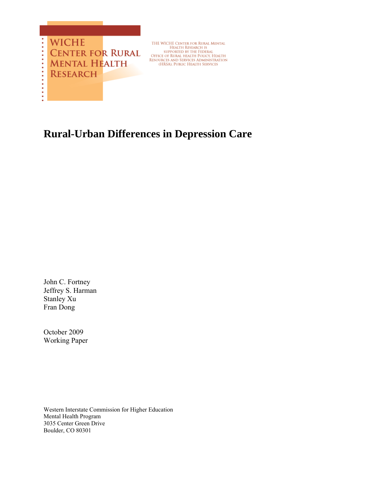

THE WICHE CENTER FOR RURAL MENTAL<br>HEALTH RESEARCH IS<br>supported by the Federal<br>Office of Rural Health Policy, Health<br>Resources and Services Administration<br>(HRSA), Public Health Services

# **Rural-Urban Differences in Depression Care**

John C. Fortney Jeffrey S. Harman Stanley Xu Fran Dong

October 2009 Working Paper

Western Interstate Commission for Higher Education Mental Health Program 3035 Center Green Drive Boulder, CO 80301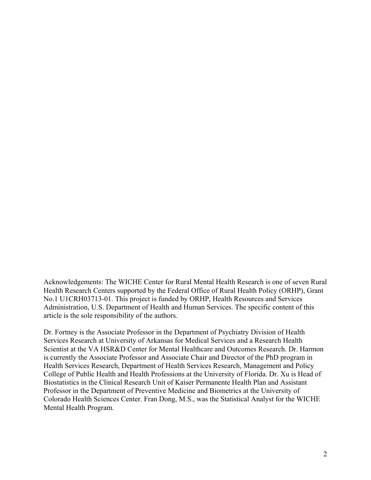Acknowledgements: The WICHE Center for Rural Mental Health Research is one of seven Rural Health Research Centers supported by the Federal Office of Rural Health Policy (ORHP), Grant No.1 U1CRH03713-01. This project is funded by ORHP, Health Resources and Services Administration, U.S. Department of Health and Human Services. The specific content of this article is the sole responsibility of the authors.

Dr. Fortney is the Associate Professor in the Department of Psychiatry Division of Health Services Research at University of Arkansas for Medical Services and a Research Health Scientist at the VA HSR&D Center for Mental Healthcare and Outcomes Research. Dr. Harmon is currently the Associate Professor and Associate Chair and Director of the PhD program in Health Services Research, Department of Health Services Research, Management and Policy College of Public Health and Health Professions at the University of Florida. Dr. Xu is Head of Biostatistics in the Clinical Research Unit of Kaiser Permanente Health Plan and Assistant Professor in the Department of Preventive Medicine and Biometrics at the University of Colorado Health Sciences Center. Fran Dong, M.S., was the Statistical Analyst for the WICHE Mental Health Program.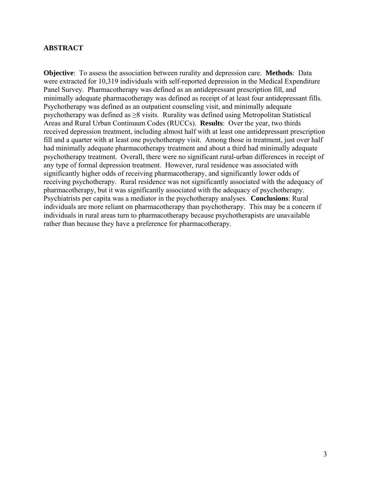# **ABSTRACT**

**Objective**: To assess the association between rurality and depression care. **Methods**: Data were extracted for 10,319 individuals with self-reported depression in the Medical Expenditure Panel Survey. Pharmacotherapy was defined as an antidepressant prescription fill, and minimally adequate pharmacotherapy was defined as receipt of at least four antidepressant fills. Psychotherapy was defined as an outpatient counseling visit, and minimally adequate psychotherapy was defined as ≥8 visits. Rurality was defined using Metropolitan Statistical Areas and Rural Urban Continuum Codes (RUCCs). **Results**: Over the year, two thirds received depression treatment, including almost half with at least one antidepressant prescription fill and a quarter with at least one psychotherapy visit. Among those in treatment, just over half had minimally adequate pharmacotherapy treatment and about a third had minimally adequate psychotherapy treatment. Overall, there were no significant rural-urban differences in receipt of any type of formal depression treatment. However, rural residence was associated with significantly higher odds of receiving pharmacotherapy, and significantly lower odds of receiving psychotherapy. Rural residence was not significantly associated with the adequacy of pharmacotherapy, but it was significantly associated with the adequacy of psychotherapy. Psychiatrists per capita was a mediator in the psychotherapy analyses. **Conclusions**: Rural individuals are more reliant on pharmacotherapy than psychotherapy. This may be a concern if individuals in rural areas turn to pharmacotherapy because psychotherapists are unavailable rather than because they have a preference for pharmacotherapy.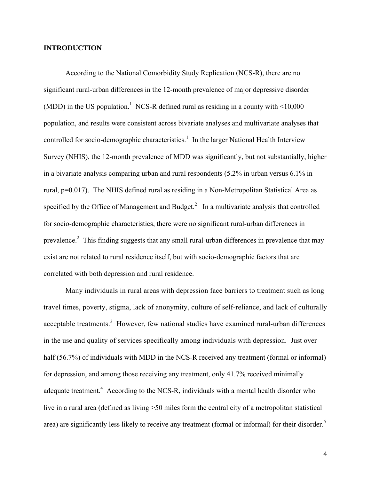# **INTRODUCTION**

According to the National Comorbidity Study Replication (NCS-R), there are no significant rural-urban differences in the 12-month prevalence of major depressive disorder (MDD) in the US population.<sup>1</sup> NCS-R defined rural as residing in a county with  $\leq 10,000$ population, and results were consistent across bivariate analyses and multivariate analyses that controlled for socio-demographic characteristics.<sup>1</sup> In the larger National Health Interview Survey (NHIS), the 12-month prevalence of MDD was significantly, but not substantially, higher in a bivariate analysis comparing urban and rural respondents (5.2% in urban versus 6.1% in rural, p=0.017). The NHIS defined rural as residing in a Non-Metropolitan Statistical Area as specified by the Office of Management and Budget. $^2$  In a multivariate analysis that controlled for socio-demographic characteristics, there were no significant rural-urban differences in prevalence.<sup>2</sup> This finding suggests that any small rural-urban differences in prevalence that may exist are not related to rural residence itself, but with socio-demographic factors that are correlated with both depression and rural residence.

Many individuals in rural areas with depression face barriers to treatment such as long travel times, poverty, stigma, lack of anonymity, culture of self-reliance, and lack of culturally acceptable treatments.<sup>3</sup> However, few national studies have examined rural-urban differences in the use and quality of services specifically among individuals with depression. Just over half (56.7%) of individuals with MDD in the NCS-R received any treatment (formal or informal) for depression, and among those receiving any treatment, only 41.7% received minimally adequate treatment.<sup>4</sup> According to the NCS-R, individuals with a mental health disorder who live in a rural area (defined as living >50 miles form the central city of a metropolitan statistical area) are significantly less likely to receive any treatment (formal or informal) for their disorder.<sup>5</sup>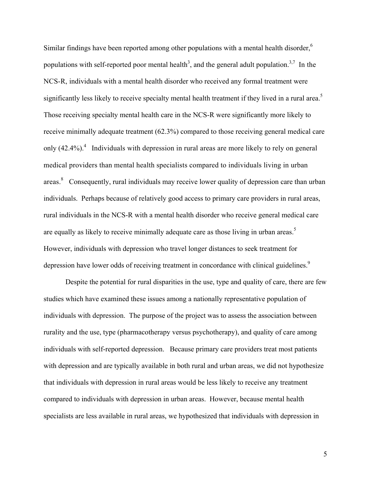Similar findings have been reported among other populations with a mental health disorder,<sup>6</sup> populations with self-reported poor mental health<sup>3</sup>, and the general adult population.<sup>3,7</sup> In the NCS-R, individuals with a mental health disorder who received any formal treatment were significantly less likely to receive specialty mental health treatment if they lived in a rural area.<sup>5</sup> Those receiving specialty mental health care in the NCS-R were significantly more likely to receive minimally adequate treatment (62.3%) compared to those receiving general medical care only  $(42.4\%)$ <sup>4</sup>. Individuals with depression in rural areas are more likely to rely on general medical providers than mental health specialists compared to individuals living in urban areas.<sup>8</sup> Consequently, rural individuals may receive lower quality of depression care than urban individuals. Perhaps because of relatively good access to primary care providers in rural areas, rural individuals in the NCS-R with a mental health disorder who receive general medical care are equally as likely to receive minimally adequate care as those living in urban areas.<sup>5</sup> However, individuals with depression who travel longer distances to seek treatment for depression have lower odds of receiving treatment in concordance with clinical guidelines.<sup>9</sup>

Despite the potential for rural disparities in the use, type and quality of care, there are few studies which have examined these issues among a nationally representative population of individuals with depression. The purpose of the project was to assess the association between rurality and the use, type (pharmacotherapy versus psychotherapy), and quality of care among individuals with self-reported depression. Because primary care providers treat most patients with depression and are typically available in both rural and urban areas, we did not hypothesize that individuals with depression in rural areas would be less likely to receive any treatment compared to individuals with depression in urban areas. However, because mental health specialists are less available in rural areas, we hypothesized that individuals with depression in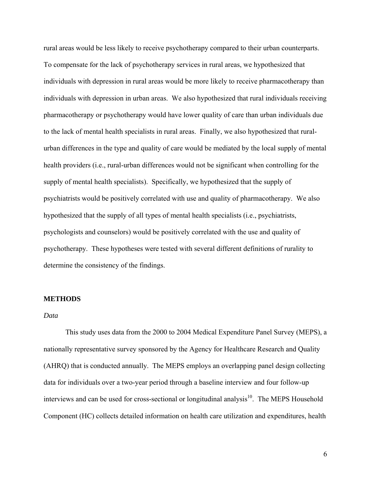rural areas would be less likely to receive psychotherapy compared to their urban counterparts. To compensate for the lack of psychotherapy services in rural areas, we hypothesized that individuals with depression in rural areas would be more likely to receive pharmacotherapy than individuals with depression in urban areas. We also hypothesized that rural individuals receiving pharmacotherapy or psychotherapy would have lower quality of care than urban individuals due to the lack of mental health specialists in rural areas. Finally, we also hypothesized that ruralurban differences in the type and quality of care would be mediated by the local supply of mental health providers (i.e., rural-urban differences would not be significant when controlling for the supply of mental health specialists). Specifically, we hypothesized that the supply of psychiatrists would be positively correlated with use and quality of pharmacotherapy. We also hypothesized that the supply of all types of mental health specialists (i.e., psychiatrists, psychologists and counselors) would be positively correlated with the use and quality of psychotherapy. These hypotheses were tested with several different definitions of rurality to determine the consistency of the findings.

## **METHODS**

#### *Data*

This study uses data from the 2000 to 2004 Medical Expenditure Panel Survey (MEPS), a nationally representative survey sponsored by the Agency for Healthcare Research and Quality (AHRQ) that is conducted annually. The MEPS employs an overlapping panel design collecting data for individuals over a two-year period through a baseline interview and four follow-up interviews and can be used for cross-sectional or longitudinal analysis $10$ . The MEPS Household Component (HC) collects detailed information on health care utilization and expenditures, health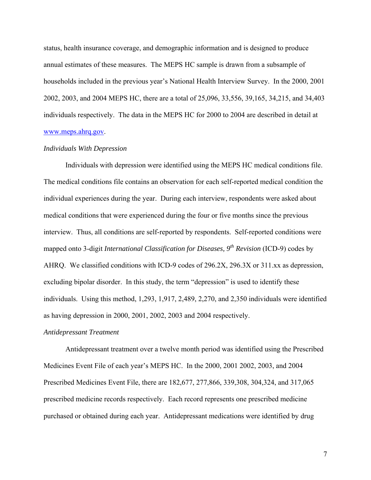status, health insurance coverage, and demographic information and is designed to produce annual estimates of these measures. The MEPS HC sample is drawn from a subsample of households included in the previous year's National Health Interview Survey. In the 2000, 2001 2002, 2003, and 2004 MEPS HC, there are a total of 25,096, 33,556, 39,165, 34,215, and 34,403 individuals respectively. The data in the MEPS HC for 2000 to 2004 are described in detail at [www.meps.ahrq.gov.](http://www.meps.ahrq.gov/)

#### *Individuals With Depression*

Individuals with depression were identified using the MEPS HC medical conditions file. The medical conditions file contains an observation for each self-reported medical condition the individual experiences during the year. During each interview, respondents were asked about medical conditions that were experienced during the four or five months since the previous interview. Thus, all conditions are self-reported by respondents. Self-reported conditions were mapped onto 3-digit *International Classification for Diseases*, 9<sup>th</sup> Revision (ICD-9) codes by AHRQ. We classified conditions with ICD-9 codes of 296.2X, 296.3X or 311.xx as depression, excluding bipolar disorder. In this study, the term "depression" is used to identify these individuals. Using this method, 1,293, 1,917, 2,489, 2,270, and 2,350 individuals were identified as having depression in 2000, 2001, 2002, 2003 and 2004 respectively.

#### *Antidepressant Treatment*

 Antidepressant treatment over a twelve month period was identified using the Prescribed Medicines Event File of each year's MEPS HC. In the 2000, 2001 2002, 2003, and 2004 Prescribed Medicines Event File, there are 182,677, 277,866, 339,308, 304,324, and 317,065 prescribed medicine records respectively. Each record represents one prescribed medicine purchased or obtained during each year. Antidepressant medications were identified by drug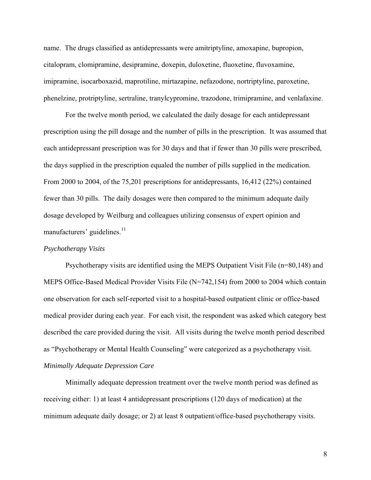name. The drugs classified as antidepressants were amitriptyline, amoxapine, bupropion, citalopram, clomipramine, desipramine, doxepin, duloxetine, fluoxetine, fluvoxamine, imipramine, isocarboxazid, maprotiline, mirtazapine, nefazodone, nortriptyline, paroxetine, phenelzine, protriptyline, sertraline, tranylcypromine, trazodone, trimipramine, and venlafaxine.

 For the twelve month period, we calculated the daily dosage for each antidepressant prescription using the pill dosage and the number of pills in the prescription. It was assumed that each antidepressant prescription was for 30 days and that if fewer than 30 pills were prescribed, the days supplied in the prescription equaled the number of pills supplied in the medication. From 2000 to 2004, of the 75,201 prescriptions for antidepressants, 16,412 (22%) contained fewer than 30 pills. The daily dosages were then compared to the minimum adequate daily dosage developed by Weilburg and colleagues utilizing consensus of expert opinion and manufacturers' guidelines.<sup>11</sup>

## *Psychotherapy Visits*

 Psychotherapy visits are identified using the MEPS Outpatient Visit File (n=80,148) and MEPS Office-Based Medical Provider Visits File (N=742,154) from 2000 to 2004 which contain one observation for each self-reported visit to a hospital-based outpatient clinic or office-based medical provider during each year. For each visit, the respondent was asked which category best described the care provided during the visit. All visits during the twelve month period described as "Psychotherapy or Mental Health Counseling" were categorized as a psychotherapy visit. *Minimally Adequate Depression Care* 

 Minimally adequate depression treatment over the twelve month period was defined as receiving either: 1) at least 4 antidepressant prescriptions (120 days of medication) at the minimum adequate daily dosage; or 2) at least 8 outpatient/office-based psychotherapy visits.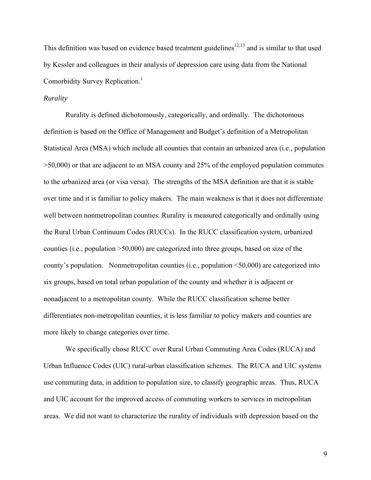This definition was based on evidence based treatment guidelines<sup>12,13</sup> and is similar to that used by Kessler and colleagues in their analysis of depression care using data from the National Comorbidity Survey Replication.<sup>1</sup>

## *Rurality*

Rurality is defined dichotomously, categorically, and ordinally. The dichotomous definition is based on the Office of Management and Budget's definition of a Metropolitan Statistical Area (MSA) which include all counties that contain an urbanized area (i.e., population >50,000) or that are adjacent to an MSA county and 25% of the employed population commutes to the urbanized area (or visa versa). The strengths of the MSA definition are that it is stable over time and it is familiar to policy makers. The main weakness is that it does not differentiate well between nonmetropolitan counties. Rurality is measured categorically and ordinally using the Rural Urban Continuum Codes (RUCCs). In the RUCC classification system, urbanized counties (i.e., population >50,000) are categorized into three groups, based on size of the county's population. Nonmetropolitan counties (i.e., population <50,000) are categorized into six groups, based on total urban population of the county and whether it is adjacent or nonadjacent to a metropolitan county. While the RUCC classification scheme better differentiates non-metropolitan counties, it is less familiar to policy makers and counties are more likely to change categories over time.

We specifically chose RUCC over Rural Urban Commuting Area Codes (RUCA) and Urban Influence Codes (UIC) rural-urban classification schemes. The RUCA and UIC systems use commuting data, in addition to population size, to classify geographic areas. Thus, RUCA and UIC account for the improved access of commuting workers to services in metropolitan areas. We did not want to characterize the rurality of individuals with depression based on the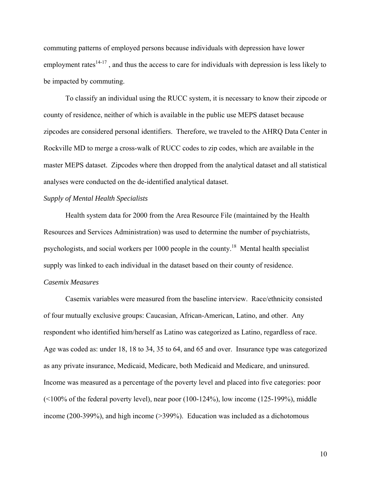commuting patterns of employed persons because individuals with depression have lower employment rates $14-17$ , and thus the access to care for individuals with depression is less likely to be impacted by commuting.

To classify an individual using the RUCC system, it is necessary to know their zipcode or county of residence, neither of which is available in the public use MEPS dataset because zipcodes are considered personal identifiers. Therefore, we traveled to the AHRQ Data Center in Rockville MD to merge a cross-walk of RUCC codes to zip codes, which are available in the master MEPS dataset. Zipcodes where then dropped from the analytical dataset and all statistical analyses were conducted on the de-identified analytical dataset.

## *Supply of Mental Health Specialists*

Health system data for 2000 from the Area Resource File (maintained by the Health Resources and Services Administration) was used to determine the number of psychiatrists, psychologists, and social workers per 1000 people in the county.18 Mental health specialist supply was linked to each individual in the dataset based on their county of residence.

## *Casemix Measures*

 Casemix variables were measured from the baseline interview. Race/ethnicity consisted of four mutually exclusive groups: Caucasian, African-American, Latino, and other. Any respondent who identified him/herself as Latino was categorized as Latino, regardless of race. Age was coded as: under 18, 18 to 34, 35 to 64, and 65 and over. Insurance type was categorized as any private insurance, Medicaid, Medicare, both Medicaid and Medicare, and uninsured. Income was measured as a percentage of the poverty level and placed into five categories: poor  $(100\%$  of the federal poverty level), near poor  $(100-124\%)$ , low income  $(125-199\%)$ , middle income (200-399%), and high income (>399%). Education was included as a dichotomous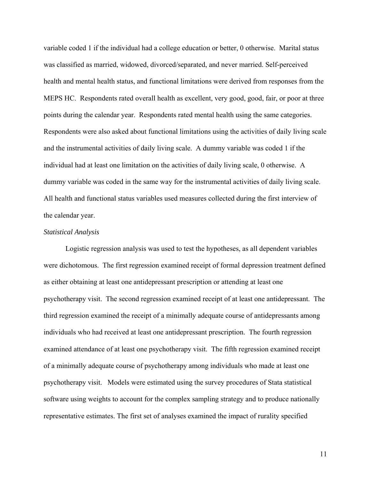variable coded 1 if the individual had a college education or better, 0 otherwise. Marital status was classified as married, widowed, divorced/separated, and never married. Self-perceived health and mental health status, and functional limitations were derived from responses from the MEPS HC. Respondents rated overall health as excellent, very good, good, fair, or poor at three points during the calendar year. Respondents rated mental health using the same categories. Respondents were also asked about functional limitations using the activities of daily living scale and the instrumental activities of daily living scale. A dummy variable was coded 1 if the individual had at least one limitation on the activities of daily living scale, 0 otherwise. A dummy variable was coded in the same way for the instrumental activities of daily living scale. All health and functional status variables used measures collected during the first interview of the calendar year.

## *Statistical Analysis*

 Logistic regression analysis was used to test the hypotheses, as all dependent variables were dichotomous. The first regression examined receipt of formal depression treatment defined as either obtaining at least one antidepressant prescription or attending at least one psychotherapy visit. The second regression examined receipt of at least one antidepressant. The third regression examined the receipt of a minimally adequate course of antidepressants among individuals who had received at least one antidepressant prescription. The fourth regression examined attendance of at least one psychotherapy visit. The fifth regression examined receipt of a minimally adequate course of psychotherapy among individuals who made at least one psychotherapy visit. Models were estimated using the survey procedures of Stata statistical software using weights to account for the complex sampling strategy and to produce nationally representative estimates. The first set of analyses examined the impact of rurality specified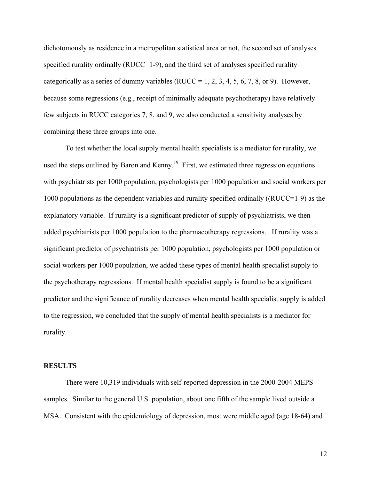dichotomously as residence in a metropolitan statistical area or not, the second set of analyses specified rurality ordinally (RUCC=1-9), and the third set of analyses specified rurality categorically as a series of dummy variables (RUCC = 1, 2, 3, 4, 5, 6, 7, 8, or 9). However, because some regressions (e.g., receipt of minimally adequate psychotherapy) have relatively few subjects in RUCC categories 7, 8, and 9, we also conducted a sensitivity analyses by combining these three groups into one.

 To test whether the local supply mental health specialists is a mediator for rurality, we used the steps outlined by Baron and Kenny.<sup>19</sup> First, we estimated three regression equations with psychiatrists per 1000 population, psychologists per 1000 population and social workers per 1000 populations as the dependent variables and rurality specified ordinally ((RUCC=1-9) as the explanatory variable. If rurality is a significant predictor of supply of psychiatrists, we then added psychiatrists per 1000 population to the pharmacotherapy regressions. If rurality was a significant predictor of psychiatrists per 1000 population, psychologists per 1000 population or social workers per 1000 population, we added these types of mental health specialist supply to the psychotherapy regressions. If mental health specialist supply is found to be a significant predictor and the significance of rurality decreases when mental health specialist supply is added to the regression, we concluded that the supply of mental health specialists is a mediator for rurality.

#### **RESULTS**

 There were 10,319 individuals with self-reported depression in the 2000-2004 MEPS samples. Similar to the general U.S. population, about one fifth of the sample lived outside a MSA. Consistent with the epidemiology of depression, most were middle aged (age 18-64) and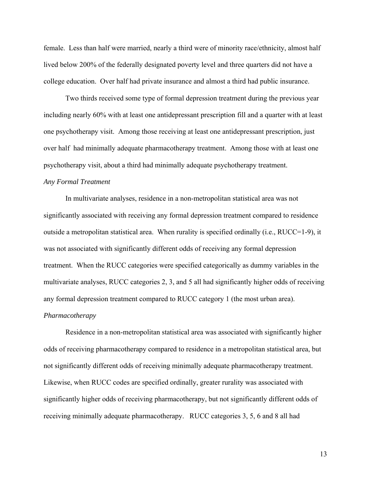female. Less than half were married, nearly a third were of minority race/ethnicity, almost half lived below 200% of the federally designated poverty level and three quarters did not have a college education. Over half had private insurance and almost a third had public insurance.

Two thirds received some type of formal depression treatment during the previous year including nearly 60% with at least one antidepressant prescription fill and a quarter with at least one psychotherapy visit. Among those receiving at least one antidepressant prescription, just over half had minimally adequate pharmacotherapy treatment. Among those with at least one psychotherapy visit, about a third had minimally adequate psychotherapy treatment.

## *Any Formal Treatment*

In multivariate analyses, residence in a non-metropolitan statistical area was not significantly associated with receiving any formal depression treatment compared to residence outside a metropolitan statistical area. When rurality is specified ordinally (i.e.,  $\text{RUCC}=1-9$ ), it was not associated with significantly different odds of receiving any formal depression treatment. When the RUCC categories were specified categorically as dummy variables in the multivariate analyses, RUCC categories 2, 3, and 5 all had significantly higher odds of receiving any formal depression treatment compared to RUCC category 1 (the most urban area).

## *Pharmacotherapy*

Residence in a non-metropolitan statistical area was associated with significantly higher odds of receiving pharmacotherapy compared to residence in a metropolitan statistical area, but not significantly different odds of receiving minimally adequate pharmacotherapy treatment. Likewise, when RUCC codes are specified ordinally, greater rurality was associated with significantly higher odds of receiving pharmacotherapy, but not significantly different odds of receiving minimally adequate pharmacotherapy. RUCC categories 3, 5, 6 and 8 all had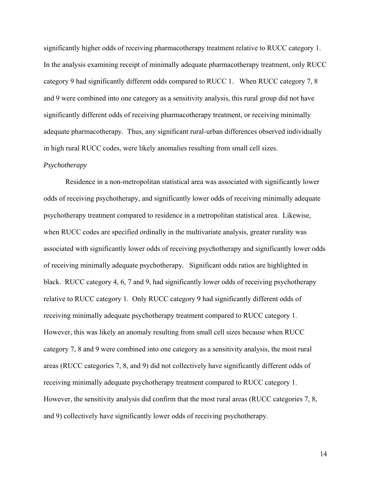significantly higher odds of receiving pharmacotherapy treatment relative to RUCC category 1. In the analysis examining receipt of minimally adequate pharmacotherapy treatment, only RUCC category 9 had significantly different odds compared to RUCC 1. When RUCC category 7, 8 and 9 were combined into one category as a sensitivity analysis, this rural group did not have significantly different odds of receiving pharmacotherapy treatment, or receiving minimally adequate pharmacotherapy. Thus, any significant rural-urban differences observed individually in high rural RUCC codes, were likely anomalies resulting from small cell sizes.

#### *Psychotherapy*

Residence in a non-metropolitan statistical area was associated with significantly lower odds of receiving psychotherapy, and significantly lower odds of receiving minimally adequate psychotherapy treatment compared to residence in a metropolitan statistical area. Likewise, when RUCC codes are specified ordinally in the multivariate analysis, greater rurality was associated with significantly lower odds of receiving psychotherapy and significantly lower odds of receiving minimally adequate psychotherapy. Significant odds ratios are highlighted in black. RUCC category 4, 6, 7 and 9, had significantly lower odds of receiving psychotherapy relative to RUCC category 1. Only RUCC category 9 had significantly different odds of receiving minimally adequate psychotherapy treatment compared to RUCC category 1. However, this was likely an anomaly resulting from small cell sizes because when RUCC category 7, 8 and 9 were combined into one category as a sensitivity analysis, the most rural areas (RUCC categories 7, 8, and 9) did not collectively have significantly different odds of receiving minimally adequate psychotherapy treatment compared to RUCC category 1. However, the sensitivity analysis did confirm that the most rural areas (RUCC categories 7, 8, and 9) collectively have significantly lower odds of receiving psychotherapy.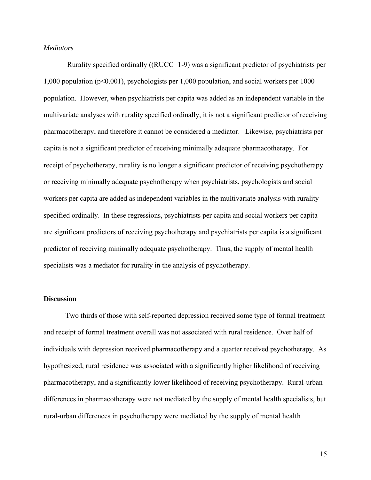## *Mediators*

 Rurality specified ordinally ((RUCC=1-9) was a significant predictor of psychiatrists per 1,000 population (p<0.001), psychologists per 1,000 population, and social workers per 1000 population. However, when psychiatrists per capita was added as an independent variable in the multivariate analyses with rurality specified ordinally, it is not a significant predictor of receiving pharmacotherapy, and therefore it cannot be considered a mediator. Likewise, psychiatrists per capita is not a significant predictor of receiving minimally adequate pharmacotherapy. For receipt of psychotherapy, rurality is no longer a significant predictor of receiving psychotherapy or receiving minimally adequate psychotherapy when psychiatrists, psychologists and social workers per capita are added as independent variables in the multivariate analysis with rurality specified ordinally. In these regressions, psychiatrists per capita and social workers per capita are significant predictors of receiving psychotherapy and psychiatrists per capita is a significant predictor of receiving minimally adequate psychotherapy. Thus, the supply of mental health specialists was a mediator for rurality in the analysis of psychotherapy.

#### **Discussion**

 Two thirds of those with self-reported depression received some type of formal treatment and receipt of formal treatment overall was not associated with rural residence. Over half of individuals with depression received pharmacotherapy and a quarter received psychotherapy. As hypothesized, rural residence was associated with a significantly higher likelihood of receiving pharmacotherapy, and a significantly lower likelihood of receiving psychotherapy. Rural-urban differences in pharmacotherapy were not mediated by the supply of mental health specialists, but rural-urban differences in psychotherapy were mediated by the supply of mental health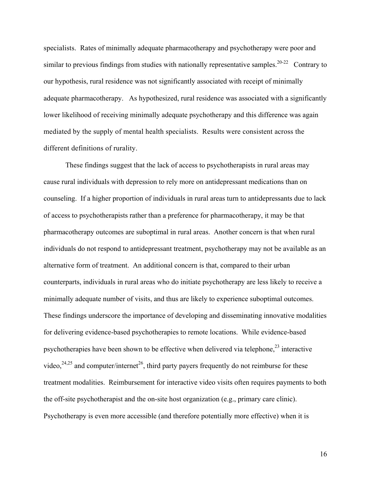specialists. Rates of minimally adequate pharmacotherapy and psychotherapy were poor and similar to previous findings from studies with nationally representative samples.<sup>20-22</sup> Contrary to our hypothesis, rural residence was not significantly associated with receipt of minimally adequate pharmacotherapy. As hypothesized, rural residence was associated with a significantly lower likelihood of receiving minimally adequate psychotherapy and this difference was again mediated by the supply of mental health specialists. Results were consistent across the different definitions of rurality.

 These findings suggest that the lack of access to psychotherapists in rural areas may cause rural individuals with depression to rely more on antidepressant medications than on counseling. If a higher proportion of individuals in rural areas turn to antidepressants due to lack of access to psychotherapists rather than a preference for pharmacotherapy, it may be that pharmacotherapy outcomes are suboptimal in rural areas. Another concern is that when rural individuals do not respond to antidepressant treatment, psychotherapy may not be available as an alternative form of treatment. An additional concern is that, compared to their urban counterparts, individuals in rural areas who do initiate psychotherapy are less likely to receive a minimally adequate number of visits, and thus are likely to experience suboptimal outcomes. These findings underscore the importance of developing and disseminating innovative modalities for delivering evidence-based psychotherapies to remote locations. While evidence-based psychotherapies have been shown to be effective when delivered via telephone,<sup>23</sup> interactive video,  $24,25$  and computer/internet<sup>26</sup>, third party payers frequently do not reimburse for these treatment modalities. Reimbursement for interactive video visits often requires payments to both the off-site psychotherapist and the on-site host organization (e.g., primary care clinic). Psychotherapy is even more accessible (and therefore potentially more effective) when it is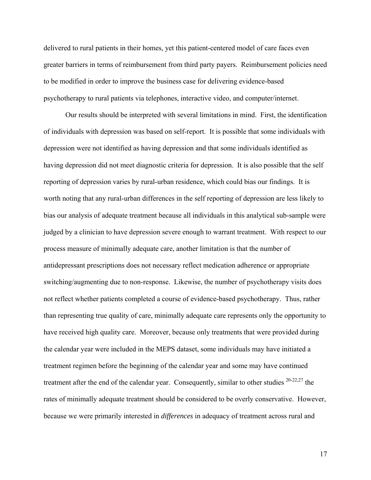delivered to rural patients in their homes, yet this patient-centered model of care faces even greater barriers in terms of reimbursement from third party payers. Reimbursement policies need to be modified in order to improve the business case for delivering evidence-based psychotherapy to rural patients via telephones, interactive video, and computer/internet.

Our results should be interpreted with several limitations in mind. First, the identification of individuals with depression was based on self-report. It is possible that some individuals with depression were not identified as having depression and that some individuals identified as having depression did not meet diagnostic criteria for depression. It is also possible that the self reporting of depression varies by rural-urban residence, which could bias our findings. It is worth noting that any rural-urban differences in the self reporting of depression are less likely to bias our analysis of adequate treatment because all individuals in this analytical sub-sample were judged by a clinician to have depression severe enough to warrant treatment. With respect to our process measure of minimally adequate care, another limitation is that the number of antidepressant prescriptions does not necessary reflect medication adherence or appropriate switching/augmenting due to non-response. Likewise, the number of psychotherapy visits does not reflect whether patients completed a course of evidence-based psychotherapy. Thus, rather than representing true quality of care, minimally adequate care represents only the opportunity to have received high quality care. Moreover, because only treatments that were provided during the calendar year were included in the MEPS dataset, some individuals may have initiated a treatment regimen before the beginning of the calendar year and some may have continued treatment after the end of the calendar year. Consequently, similar to other studies  $20-22,27$  the rates of minimally adequate treatment should be considered to be overly conservative. However, because we were primarily interested in *differences* in adequacy of treatment across rural and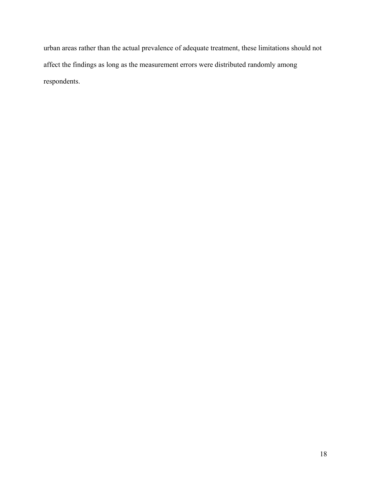urban areas rather than the actual prevalence of adequate treatment, these limitations should not affect the findings as long as the measurement errors were distributed randomly among respondents.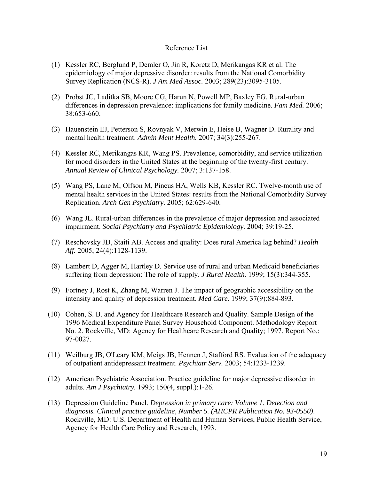## Reference List

- (1) Kessler RC, Berglund P, Demler O, Jin R, Koretz D, Merikangas KR et al. The epidemiology of major depressive disorder: results from the National Comorbidity Survey Replication (NCS-R). *J Am Med Assoc.* 2003; 289(23):3095-3105.
- (2) Probst JC, Laditka SB, Moore CG, Harun N, Powell MP, Baxley EG. Rural-urban differences in depression prevalence: implications for family medicine. *Fam Med.* 2006; 38:653-660.
- (3) Hauenstein EJ, Petterson S, Rovnyak V, Merwin E, Heise B, Wagner D. Rurality and mental health treatment. *Admin Ment Health.* 2007; 34(3):255-267.
- (4) Kessler RC, Merikangas KR, Wang PS. Prevalence, comorbidity, and service utilization for mood disorders in the United States at the beginning of the twenty-first century. *Annual Review of Clinical Psychology.* 2007; 3:137-158.
- (5) Wang PS, Lane M, Olfson M, Pincus HA, Wells KB, Kessler RC. Twelve-month use of mental health services in the United States: results from the National Comorbidity Survey Replication. *Arch Gen Psychiatry.* 2005; 62:629-640.
- (6) Wang JL. Rural-urban differences in the prevalence of major depression and associated impairment. *Social Psychiatry and Psychiatric Epidemiology.* 2004; 39:19-25.
- (7) Reschovsky JD, Staiti AB. Access and quality: Does rural America lag behind? *Health Aff.* 2005; 24(4):1128-1139.
- (8) Lambert D, Agger M, Hartley D. Service use of rural and urban Medicaid beneficiaries suffering from depression: The role of supply. *J Rural Health.* 1999; 15(3):344-355.
- (9) Fortney J, Rost K, Zhang M, Warren J. The impact of geographic accessibility on the intensity and quality of depression treatment. *Med Care.* 1999; 37(9):884-893.
- (10) Cohen, S. B. and Agency for Healthcare Research and Quality. Sample Design of the 1996 Medical Expenditure Panel Survey Household Component. Methodology Report No. 2. Rockville, MD: Agency for Healthcare Research and Quality; 1997. Report No.: 97-0027.
- (11) Weilburg JB, O'Leary KM, Meigs JB, Hennen J, Stafford RS. Evaluation of the adequacy of outpatient antidepressant treatment. *Psychiatr Serv.* 2003; 54:1233-1239.
- (12) American Psychiatric Association. Practice guideline for major depressive disorder in adults. *Am J Psychiatry.* 1993; 150(4, suppl.):1-26.
- (13) Depression Guideline Panel. *Depression in primary care: Volume 1. Detection and diagnosis. Clinical practice guideline, Number 5. (AHCPR Publication No. 93-0550)*. Rockville, MD: U.S. Department of Health and Human Services, Public Health Service, Agency for Health Care Policy and Research, 1993.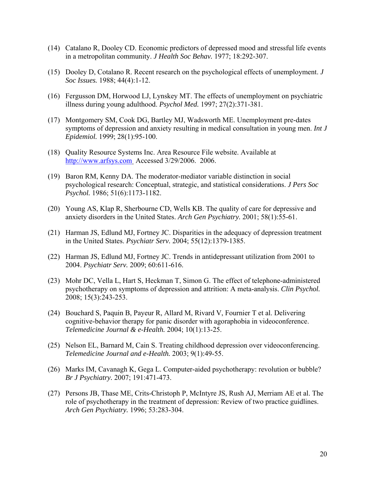- (14) Catalano R, Dooley CD. Economic predictors of depressed mood and stressful life events in a metropolitan community. *J Health Soc Behav.* 1977; 18:292-307.
- (15) Dooley D, Cotalano R. Recent research on the psychological effects of unemployment. *J Soc Issues.* 1988; 44(4):1-12.
- (16) Fergusson DM, Horwood LJ, Lynskey MT. The effects of unemployment on psychiatric illness during young adulthood. *Psychol Med.* 1997; 27(2):371-381.
- (17) Montgomery SM, Cook DG, Bartley MJ, Wadsworth ME. Unemployment pre-dates symptoms of depression and anxiety resulting in medical consultation in young men. *Int J Epidemiol.* 1999; 28(1):95-100.
- (18) Quality Resource Systems Inc. Area Resource File website. Available at [http://www.arfsys.com](http://www.arfsys.com/) Accessed 3/29/2006. 2006.
- (19) Baron RM, Kenny DA. The moderator-mediator variable distinction in social psychological research: Conceptual, strategic, and statistical considerations. *J Pers Soc Psychol.* 1986; 51(6):1173-1182.
- (20) Young AS, Klap R, Sherbourne CD, Wells KB. The quality of care for depressive and anxiety disorders in the United States. *Arch Gen Psychiatry.* 2001; 58(1):55-61.
- (21) Harman JS, Edlund MJ, Fortney JC. Disparities in the adequacy of depression treatment in the United States. *Psychiatr Serv.* 2004; 55(12):1379-1385.
- (22) Harman JS, Edlund MJ, Fortney JC. Trends in antidepressant utilization from 2001 to 2004. *Psychiatr Serv.* 2009; 60:611-616.
- (23) Mohr DC, Vella L, Hart S, Heckman T, Simon G. The effect of telephone-administered psychotherapy on symptoms of depression and attrition: A meta-analysis. *Clin Psychol.* 2008; 15(3):243-253.
- (24) Bouchard S, Paquin B, Payeur R, Allard M, Rivard V, Fournier T et al. Delivering cognitive-behavior therapy for panic disorder with agoraphobia in videoconference. *Telemedicine Journal & e-Health.* 2004; 10(1):13-25.
- (25) Nelson EL, Barnard M, Cain S. Treating childhood depression over videoconferencing. *Telemedicine Journal and e-Health.* 2003; 9(1):49-55.
- (26) Marks IM, Cavanagh K, Gega L. Computer-aided psychotherapy: revolution or bubble? *Br J Psychiatry.* 2007; 191:471-473.
- (27) Persons JB, Thase ME, Crits-Christoph P, McIntyre JS, Rush AJ, Merriam AE et al. The role of psychotherapy in the treatment of depression: Review of two practice guidlines. *Arch Gen Psychiatry.* 1996; 53:283-304.